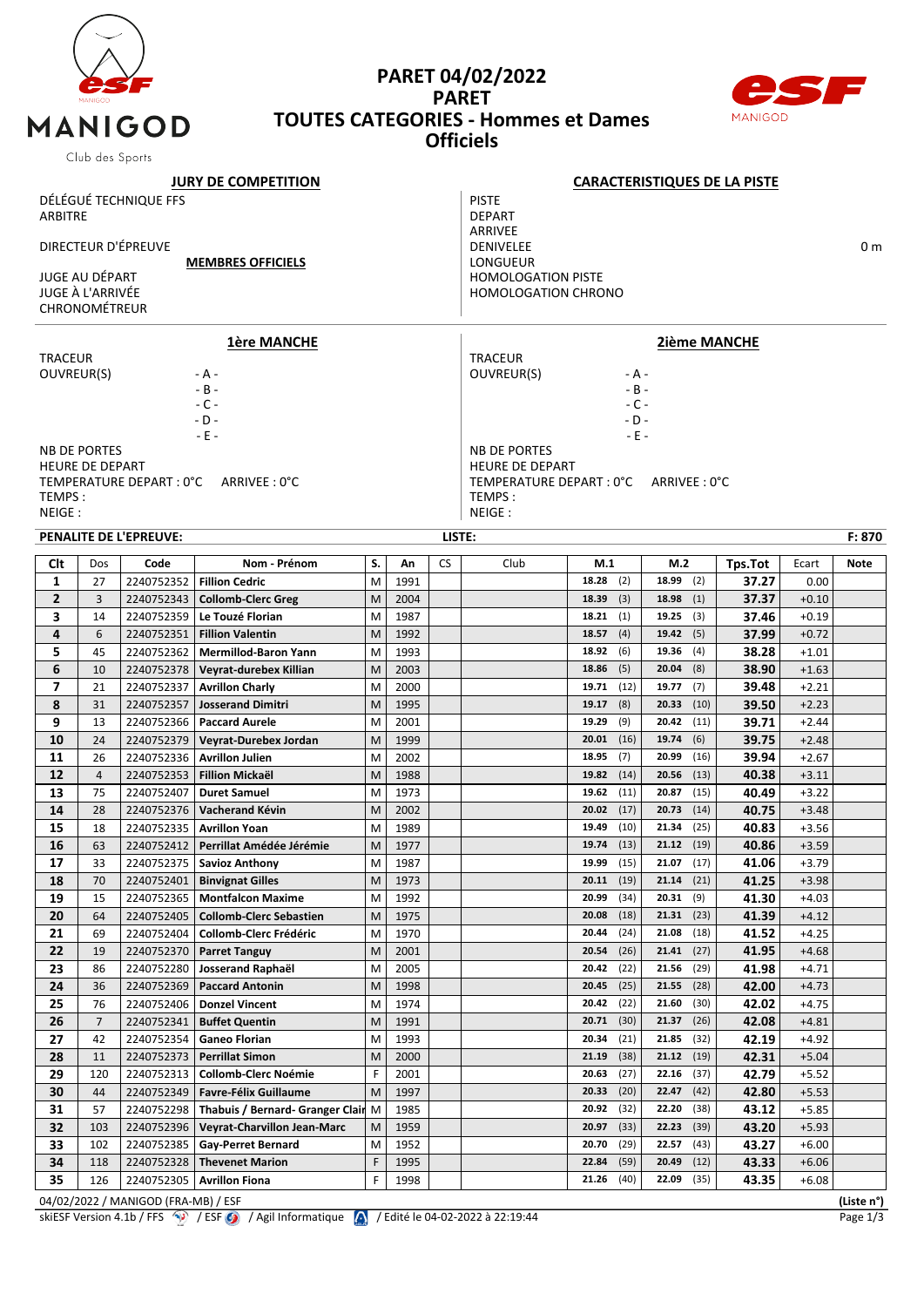

## **PARET 04/02/2022 PARET TOUTES CATEGORIES - Hommes et Dames Officiels**



| Club des oports            |                                    |                               |                                             |        |              |           |                                     |                                                                                                                                                                                                                                                                                                                                                                                                                                                                                                                                                                                                                                                                                                                                                                                                                                                                                                                                                                                                                                                                                                                                                                                                                                                                                                                                                                                                                                                                                                                                                                                                                                                                                                                                                                                                                                                                                                                                                                                                                                         |               |       |         |  |  |  |
|----------------------------|------------------------------------|-------------------------------|---------------------------------------------|--------|--------------|-----------|-------------------------------------|-----------------------------------------------------------------------------------------------------------------------------------------------------------------------------------------------------------------------------------------------------------------------------------------------------------------------------------------------------------------------------------------------------------------------------------------------------------------------------------------------------------------------------------------------------------------------------------------------------------------------------------------------------------------------------------------------------------------------------------------------------------------------------------------------------------------------------------------------------------------------------------------------------------------------------------------------------------------------------------------------------------------------------------------------------------------------------------------------------------------------------------------------------------------------------------------------------------------------------------------------------------------------------------------------------------------------------------------------------------------------------------------------------------------------------------------------------------------------------------------------------------------------------------------------------------------------------------------------------------------------------------------------------------------------------------------------------------------------------------------------------------------------------------------------------------------------------------------------------------------------------------------------------------------------------------------------------------------------------------------------------------------------------------------|---------------|-------|---------|--|--|--|
| <b>JURY DE COMPETITION</b> |                                    |                               |                                             |        |              |           | <b>CARACTERISTIQUES DE LA PISTE</b> |                                                                                                                                                                                                                                                                                                                                                                                                                                                                                                                                                                                                                                                                                                                                                                                                                                                                                                                                                                                                                                                                                                                                                                                                                                                                                                                                                                                                                                                                                                                                                                                                                                                                                                                                                                                                                                                                                                                                                                                                                                         |               |       |         |  |  |  |
|                            |                                    | DÉLÉGUÉ TECHNIQUE FFS         |                                             |        |              |           | <b>PISTE</b>                        |                                                                                                                                                                                                                                                                                                                                                                                                                                                                                                                                                                                                                                                                                                                                                                                                                                                                                                                                                                                                                                                                                                                                                                                                                                                                                                                                                                                                                                                                                                                                                                                                                                                                                                                                                                                                                                                                                                                                                                                                                                         |               |       |         |  |  |  |
| ARBITRE                    |                                    |                               |                                             |        |              |           | <b>DEPART</b>                       |                                                                                                                                                                                                                                                                                                                                                                                                                                                                                                                                                                                                                                                                                                                                                                                                                                                                                                                                                                                                                                                                                                                                                                                                                                                                                                                                                                                                                                                                                                                                                                                                                                                                                                                                                                                                                                                                                                                                                                                                                                         |               |       |         |  |  |  |
|                            |                                    |                               |                                             |        |              |           | ARRIVEE                             |                                                                                                                                                                                                                                                                                                                                                                                                                                                                                                                                                                                                                                                                                                                                                                                                                                                                                                                                                                                                                                                                                                                                                                                                                                                                                                                                                                                                                                                                                                                                                                                                                                                                                                                                                                                                                                                                                                                                                                                                                                         |               |       |         |  |  |  |
| DIRECTEUR D'ÉPREUVE        |                                    |                               |                                             |        |              |           | <b>DENIVELEE</b><br>0 <sub>m</sub>  |                                                                                                                                                                                                                                                                                                                                                                                                                                                                                                                                                                                                                                                                                                                                                                                                                                                                                                                                                                                                                                                                                                                                                                                                                                                                                                                                                                                                                                                                                                                                                                                                                                                                                                                                                                                                                                                                                                                                                                                                                                         |               |       |         |  |  |  |
|                            |                                    |                               | <b>MEMBRES OFFICIELS</b>                    |        |              |           | LONGUEUR                            |                                                                                                                                                                                                                                                                                                                                                                                                                                                                                                                                                                                                                                                                                                                                                                                                                                                                                                                                                                                                                                                                                                                                                                                                                                                                                                                                                                                                                                                                                                                                                                                                                                                                                                                                                                                                                                                                                                                                                                                                                                         |               |       |         |  |  |  |
|                            | JUGE AU DÉPART<br>JUGE À L'ARRIVÉE |                               |                                             |        |              |           | <b>HOMOLOGATION PISTE</b>           |                                                                                                                                                                                                                                                                                                                                                                                                                                                                                                                                                                                                                                                                                                                                                                                                                                                                                                                                                                                                                                                                                                                                                                                                                                                                                                                                                                                                                                                                                                                                                                                                                                                                                                                                                                                                                                                                                                                                                                                                                                         |               |       |         |  |  |  |
|                            | CHRONOMÉTREUR                      |                               |                                             |        |              |           |                                     |                                                                                                                                                                                                                                                                                                                                                                                                                                                                                                                                                                                                                                                                                                                                                                                                                                                                                                                                                                                                                                                                                                                                                                                                                                                                                                                                                                                                                                                                                                                                                                                                                                                                                                                                                                                                                                                                                                                                                                                                                                         |               |       |         |  |  |  |
|                            |                                    |                               |                                             |        |              |           |                                     |                                                                                                                                                                                                                                                                                                                                                                                                                                                                                                                                                                                                                                                                                                                                                                                                                                                                                                                                                                                                                                                                                                                                                                                                                                                                                                                                                                                                                                                                                                                                                                                                                                                                                                                                                                                                                                                                                                                                                                                                                                         |               |       |         |  |  |  |
|                            |                                    |                               | <u>1ère MANCHE</u>                          |        |              |           |                                     |                                                                                                                                                                                                                                                                                                                                                                                                                                                                                                                                                                                                                                                                                                                                                                                                                                                                                                                                                                                                                                                                                                                                                                                                                                                                                                                                                                                                                                                                                                                                                                                                                                                                                                                                                                                                                                                                                                                                                                                                                                         |               |       |         |  |  |  |
| <b>TRACEUR</b>             |                                    |                               |                                             |        |              |           | <b>TRACEUR</b>                      |                                                                                                                                                                                                                                                                                                                                                                                                                                                                                                                                                                                                                                                                                                                                                                                                                                                                                                                                                                                                                                                                                                                                                                                                                                                                                                                                                                                                                                                                                                                                                                                                                                                                                                                                                                                                                                                                                                                                                                                                                                         |               |       |         |  |  |  |
| OUVREUR(S)                 |                                    |                               | - A -                                       |        |              |           | OUVREUR(S)                          |                                                                                                                                                                                                                                                                                                                                                                                                                                                                                                                                                                                                                                                                                                                                                                                                                                                                                                                                                                                                                                                                                                                                                                                                                                                                                                                                                                                                                                                                                                                                                                                                                                                                                                                                                                                                                                                                                                                                                                                                                                         |               |       |         |  |  |  |
|                            |                                    |                               | $- B -$                                     |        |              |           |                                     |                                                                                                                                                                                                                                                                                                                                                                                                                                                                                                                                                                                                                                                                                                                                                                                                                                                                                                                                                                                                                                                                                                                                                                                                                                                                                                                                                                                                                                                                                                                                                                                                                                                                                                                                                                                                                                                                                                                                                                                                                                         |               |       |         |  |  |  |
|                            |                                    |                               | $-C -$                                      |        |              |           |                                     |                                                                                                                                                                                                                                                                                                                                                                                                                                                                                                                                                                                                                                                                                                                                                                                                                                                                                                                                                                                                                                                                                                                                                                                                                                                                                                                                                                                                                                                                                                                                                                                                                                                                                                                                                                                                                                                                                                                                                                                                                                         |               |       |         |  |  |  |
|                            |                                    |                               | $-D -$<br>$-E -$                            |        |              |           |                                     | <b>HOMOLOGATION CHRONO</b><br><b>2ième MANCHE</b><br>- A -<br>$-B -$<br>$-C -$<br>- D -<br>$-E -$<br><b>NB DE PORTES</b><br><b>HEURE DE DEPART</b><br>TEMPERATURE DEPART : 0°C<br>ARRIVEE: 0°C<br>F: 870<br>Club<br>M.2<br>Tps.Tot<br>M.1<br>Ecart<br><b>Note</b><br>18.28<br>18.99<br>(2)<br>(2)<br>37.27<br>0.00<br>(3)<br>18.98<br>(1)<br>37.37<br>$+0.10$<br>18.39<br>(1)<br>19.25<br>37.46<br>18.21<br>(3)<br>$+0.19$<br>(4)<br>19.42<br>(5)<br>37.99<br>$+0.72$<br>18.57<br>18.92<br>(6)<br>19.36<br>(4)<br>38.28<br>$+1.01$<br>18.86<br>(5)<br>$20.04$ (8)<br>38.90<br>$+1.63$<br>$+2.21$<br>39.48<br>19.71<br>(12)<br>19.77<br>(7)<br>39.50<br>(8)<br>$+2.23$<br>19.17<br>20.33<br>(10)<br>19.29<br>(9)<br>20.42<br>(11)<br>39.71<br>$+2.44$<br>20.01<br>(16)<br>19.74<br>39.75<br>(6)<br>$+2.48$<br>18.95<br>(7)<br>20.99<br>39.94<br>(16)<br>$+2.67$<br>(14)<br>19.82<br>20.56<br>(13)<br>40.38<br>$+3.11$<br>(11)<br>19.62<br>20.87<br>(15)<br>40.49<br>$+3.22$<br>(17)<br>20.02<br>20.73<br>(14)<br>40.75<br>$+3.48$<br>(10)<br>40.83<br>19.49<br>21.34<br>(25)<br>$+3.56$<br>40.86<br>$19.74$ (13)<br>$21.12$ (19)<br>$+3.59$<br>21.07<br>(17)<br>19.99<br>(15)<br>41.06<br>$+3.79$<br>(19)<br>21.14<br>20.11<br>(21)<br>41.25<br>$+3.98$<br>20.99<br>(34)<br>20.31<br>(9)<br>41.30<br>$+4.03$<br>41.39<br>20.08<br>(18)<br>21.31<br>(23)<br>$+4.12$<br>20.44<br>(24)<br>21.08<br>(18)<br>41.52<br>$+4.25$<br>20.54<br>(26)<br>21.41<br>(27)<br>41.95<br>$+4.68$<br>20.42<br>(22)<br>21.56<br>(29)<br>41.98<br>+4.71<br>42.00<br>20.45<br>(25)<br>21.55<br>$+4.73$<br>(28)<br>20.42<br>(22)<br>21.60<br>(30)<br>42.02<br>$+4.75$<br>20.71<br>(30)<br>21.37<br>(26)<br>42.08<br>$+4.81$<br>20.34<br>(21)<br>21.85<br>(32)<br>42.19<br>$+4.92$<br>(38)<br>21.12<br>21.19<br>(19)<br>42.31<br>$+5.04$<br>42.79<br>20.63<br>22.16<br>$+5.52$<br>(27)<br>(37)<br>(20)<br>22.47<br>(42)<br>20.33<br>42.80<br>$+5.53$<br>(32)<br>22.20<br>(38)<br>43.12<br>20.92<br>$+5.85$<br>(33)<br>20.97<br>22.23<br>(39)<br>43.20<br>$+5.93$ |               |       |         |  |  |  |
|                            | <b>NB DE PORTES</b>                |                               |                                             |        |              |           |                                     |                                                                                                                                                                                                                                                                                                                                                                                                                                                                                                                                                                                                                                                                                                                                                                                                                                                                                                                                                                                                                                                                                                                                                                                                                                                                                                                                                                                                                                                                                                                                                                                                                                                                                                                                                                                                                                                                                                                                                                                                                                         |               |       |         |  |  |  |
|                            | <b>HEURE DE DEPART</b>             |                               |                                             |        |              |           |                                     |                                                                                                                                                                                                                                                                                                                                                                                                                                                                                                                                                                                                                                                                                                                                                                                                                                                                                                                                                                                                                                                                                                                                                                                                                                                                                                                                                                                                                                                                                                                                                                                                                                                                                                                                                                                                                                                                                                                                                                                                                                         |               |       |         |  |  |  |
|                            |                                    | TEMPERATURE DEPART : 0°C      | ARRIVEE: 0°C                                |        |              |           |                                     |                                                                                                                                                                                                                                                                                                                                                                                                                                                                                                                                                                                                                                                                                                                                                                                                                                                                                                                                                                                                                                                                                                                                                                                                                                                                                                                                                                                                                                                                                                                                                                                                                                                                                                                                                                                                                                                                                                                                                                                                                                         |               |       |         |  |  |  |
| TEMPS:                     |                                    |                               |                                             |        |              |           | TEMPS:                              |                                                                                                                                                                                                                                                                                                                                                                                                                                                                                                                                                                                                                                                                                                                                                                                                                                                                                                                                                                                                                                                                                                                                                                                                                                                                                                                                                                                                                                                                                                                                                                                                                                                                                                                                                                                                                                                                                                                                                                                                                                         |               |       |         |  |  |  |
| NEIGE:                     |                                    |                               |                                             |        |              |           | NEIGE :                             |                                                                                                                                                                                                                                                                                                                                                                                                                                                                                                                                                                                                                                                                                                                                                                                                                                                                                                                                                                                                                                                                                                                                                                                                                                                                                                                                                                                                                                                                                                                                                                                                                                                                                                                                                                                                                                                                                                                                                                                                                                         |               |       |         |  |  |  |
|                            |                                    | <b>PENALITE DE L'EPREUVE:</b> |                                             |        |              | LISTE:    |                                     |                                                                                                                                                                                                                                                                                                                                                                                                                                                                                                                                                                                                                                                                                                                                                                                                                                                                                                                                                                                                                                                                                                                                                                                                                                                                                                                                                                                                                                                                                                                                                                                                                                                                                                                                                                                                                                                                                                                                                                                                                                         |               |       |         |  |  |  |
|                            |                                    |                               |                                             |        |              |           |                                     |                                                                                                                                                                                                                                                                                                                                                                                                                                                                                                                                                                                                                                                                                                                                                                                                                                                                                                                                                                                                                                                                                                                                                                                                                                                                                                                                                                                                                                                                                                                                                                                                                                                                                                                                                                                                                                                                                                                                                                                                                                         |               |       |         |  |  |  |
| Clt                        | Dos                                | Code                          | Nom - Prénom                                | S.     | An           | <b>CS</b> |                                     |                                                                                                                                                                                                                                                                                                                                                                                                                                                                                                                                                                                                                                                                                                                                                                                                                                                                                                                                                                                                                                                                                                                                                                                                                                                                                                                                                                                                                                                                                                                                                                                                                                                                                                                                                                                                                                                                                                                                                                                                                                         |               |       |         |  |  |  |
| 1<br>$\overline{2}$        | 27<br>3                            | 2240752352<br>2240752343      | <b>Fillion Cedric</b>                       | M<br>M | 1991         |           |                                     |                                                                                                                                                                                                                                                                                                                                                                                                                                                                                                                                                                                                                                                                                                                                                                                                                                                                                                                                                                                                                                                                                                                                                                                                                                                                                                                                                                                                                                                                                                                                                                                                                                                                                                                                                                                                                                                                                                                                                                                                                                         |               |       |         |  |  |  |
| 3                          |                                    |                               | <b>Collomb-Clerc Greg</b>                   |        | 2004         |           |                                     |                                                                                                                                                                                                                                                                                                                                                                                                                                                                                                                                                                                                                                                                                                                                                                                                                                                                                                                                                                                                                                                                                                                                                                                                                                                                                                                                                                                                                                                                                                                                                                                                                                                                                                                                                                                                                                                                                                                                                                                                                                         |               |       |         |  |  |  |
| 4                          | 14<br>6                            | 2240752359                    | Le Touzé Florian<br><b>Fillion Valentin</b> | M<br>M | 1987         |           |                                     |                                                                                                                                                                                                                                                                                                                                                                                                                                                                                                                                                                                                                                                                                                                                                                                                                                                                                                                                                                                                                                                                                                                                                                                                                                                                                                                                                                                                                                                                                                                                                                                                                                                                                                                                                                                                                                                                                                                                                                                                                                         |               |       |         |  |  |  |
| 5                          | 45                                 | 2240752351<br>2240752362      | <b>Mermillod-Baron Yann</b>                 | M      | 1992<br>1993 |           |                                     |                                                                                                                                                                                                                                                                                                                                                                                                                                                                                                                                                                                                                                                                                                                                                                                                                                                                                                                                                                                                                                                                                                                                                                                                                                                                                                                                                                                                                                                                                                                                                                                                                                                                                                                                                                                                                                                                                                                                                                                                                                         |               |       |         |  |  |  |
| 6                          | 10                                 | 2240752378                    | Veyrat-durebex Killian                      | M      | 2003         |           |                                     |                                                                                                                                                                                                                                                                                                                                                                                                                                                                                                                                                                                                                                                                                                                                                                                                                                                                                                                                                                                                                                                                                                                                                                                                                                                                                                                                                                                                                                                                                                                                                                                                                                                                                                                                                                                                                                                                                                                                                                                                                                         |               |       |         |  |  |  |
| $\overline{\phantom{a}}$   | 21                                 | 2240752337                    | <b>Avrillon Charly</b>                      | M      | 2000         |           |                                     |                                                                                                                                                                                                                                                                                                                                                                                                                                                                                                                                                                                                                                                                                                                                                                                                                                                                                                                                                                                                                                                                                                                                                                                                                                                                                                                                                                                                                                                                                                                                                                                                                                                                                                                                                                                                                                                                                                                                                                                                                                         |               |       |         |  |  |  |
| 8                          | 31                                 | 2240752357                    | <b>Josserand Dimitri</b>                    | M      | 1995         |           |                                     |                                                                                                                                                                                                                                                                                                                                                                                                                                                                                                                                                                                                                                                                                                                                                                                                                                                                                                                                                                                                                                                                                                                                                                                                                                                                                                                                                                                                                                                                                                                                                                                                                                                                                                                                                                                                                                                                                                                                                                                                                                         |               |       |         |  |  |  |
| 9                          | 13                                 | 2240752366                    | <b>Paccard Aurele</b>                       | M      | 2001         |           |                                     |                                                                                                                                                                                                                                                                                                                                                                                                                                                                                                                                                                                                                                                                                                                                                                                                                                                                                                                                                                                                                                                                                                                                                                                                                                                                                                                                                                                                                                                                                                                                                                                                                                                                                                                                                                                                                                                                                                                                                                                                                                         |               |       |         |  |  |  |
| 10                         | 24                                 | 2240752379                    | Veyrat-Durebex Jordan                       | M      | 1999         |           |                                     |                                                                                                                                                                                                                                                                                                                                                                                                                                                                                                                                                                                                                                                                                                                                                                                                                                                                                                                                                                                                                                                                                                                                                                                                                                                                                                                                                                                                                                                                                                                                                                                                                                                                                                                                                                                                                                                                                                                                                                                                                                         |               |       |         |  |  |  |
| 11                         | 26                                 | 2240752336                    | <b>Avrillon Julien</b>                      | M      | 2002         |           |                                     |                                                                                                                                                                                                                                                                                                                                                                                                                                                                                                                                                                                                                                                                                                                                                                                                                                                                                                                                                                                                                                                                                                                                                                                                                                                                                                                                                                                                                                                                                                                                                                                                                                                                                                                                                                                                                                                                                                                                                                                                                                         |               |       |         |  |  |  |
| 12                         | $\overline{4}$                     | 2240752353                    | <b>Fillion Mickaël</b>                      | M      | 1988         |           |                                     |                                                                                                                                                                                                                                                                                                                                                                                                                                                                                                                                                                                                                                                                                                                                                                                                                                                                                                                                                                                                                                                                                                                                                                                                                                                                                                                                                                                                                                                                                                                                                                                                                                                                                                                                                                                                                                                                                                                                                                                                                                         |               |       |         |  |  |  |
| 13                         | 75                                 | 2240752407                    | <b>Duret Samuel</b>                         | M      | 1973         |           |                                     |                                                                                                                                                                                                                                                                                                                                                                                                                                                                                                                                                                                                                                                                                                                                                                                                                                                                                                                                                                                                                                                                                                                                                                                                                                                                                                                                                                                                                                                                                                                                                                                                                                                                                                                                                                                                                                                                                                                                                                                                                                         |               |       |         |  |  |  |
| 14                         | 28                                 | 2240752376                    | Vacherand Kévin                             | M      | 2002         |           |                                     |                                                                                                                                                                                                                                                                                                                                                                                                                                                                                                                                                                                                                                                                                                                                                                                                                                                                                                                                                                                                                                                                                                                                                                                                                                                                                                                                                                                                                                                                                                                                                                                                                                                                                                                                                                                                                                                                                                                                                                                                                                         |               |       |         |  |  |  |
| 15                         | 18                                 | 2240752335                    | <b>Avrillon Yoan</b>                        | M      | 1989         |           |                                     |                                                                                                                                                                                                                                                                                                                                                                                                                                                                                                                                                                                                                                                                                                                                                                                                                                                                                                                                                                                                                                                                                                                                                                                                                                                                                                                                                                                                                                                                                                                                                                                                                                                                                                                                                                                                                                                                                                                                                                                                                                         |               |       |         |  |  |  |
| 16                         | 63                                 | 2240752412                    | Perrillat Amédée Jérémie                    | M      | 1977         |           |                                     |                                                                                                                                                                                                                                                                                                                                                                                                                                                                                                                                                                                                                                                                                                                                                                                                                                                                                                                                                                                                                                                                                                                                                                                                                                                                                                                                                                                                                                                                                                                                                                                                                                                                                                                                                                                                                                                                                                                                                                                                                                         |               |       |         |  |  |  |
| 17                         | 33                                 | 2240752375                    | <b>Savioz Anthony</b>                       | M      | 1987         |           |                                     |                                                                                                                                                                                                                                                                                                                                                                                                                                                                                                                                                                                                                                                                                                                                                                                                                                                                                                                                                                                                                                                                                                                                                                                                                                                                                                                                                                                                                                                                                                                                                                                                                                                                                                                                                                                                                                                                                                                                                                                                                                         |               |       |         |  |  |  |
| 18                         | 70                                 | 2240752401                    | <b>Binvignat Gilles</b>                     | M      | 1973         |           |                                     |                                                                                                                                                                                                                                                                                                                                                                                                                                                                                                                                                                                                                                                                                                                                                                                                                                                                                                                                                                                                                                                                                                                                                                                                                                                                                                                                                                                                                                                                                                                                                                                                                                                                                                                                                                                                                                                                                                                                                                                                                                         |               |       |         |  |  |  |
| 19                         | 15                                 | 2240752365                    | <b>Montfalcon Maxime</b>                    | M      | 1992         |           |                                     |                                                                                                                                                                                                                                                                                                                                                                                                                                                                                                                                                                                                                                                                                                                                                                                                                                                                                                                                                                                                                                                                                                                                                                                                                                                                                                                                                                                                                                                                                                                                                                                                                                                                                                                                                                                                                                                                                                                                                                                                                                         |               |       |         |  |  |  |
| 20                         | 64                                 | 2240752405                    | <b>Collomb-Clerc Sebastien</b>              | M      | 1975         |           |                                     |                                                                                                                                                                                                                                                                                                                                                                                                                                                                                                                                                                                                                                                                                                                                                                                                                                                                                                                                                                                                                                                                                                                                                                                                                                                                                                                                                                                                                                                                                                                                                                                                                                                                                                                                                                                                                                                                                                                                                                                                                                         |               |       |         |  |  |  |
| 21                         | 69                                 | 2240752404                    | <b>Collomb-Clerc Frédéric</b>               | M      | 1970         |           |                                     |                                                                                                                                                                                                                                                                                                                                                                                                                                                                                                                                                                                                                                                                                                                                                                                                                                                                                                                                                                                                                                                                                                                                                                                                                                                                                                                                                                                                                                                                                                                                                                                                                                                                                                                                                                                                                                                                                                                                                                                                                                         |               |       |         |  |  |  |
| 22                         | 19                                 | 2240752370                    | <b>Parret Tanguy</b>                        | M      | 2001         |           |                                     |                                                                                                                                                                                                                                                                                                                                                                                                                                                                                                                                                                                                                                                                                                                                                                                                                                                                                                                                                                                                                                                                                                                                                                                                                                                                                                                                                                                                                                                                                                                                                                                                                                                                                                                                                                                                                                                                                                                                                                                                                                         |               |       |         |  |  |  |
| 23                         | 86                                 | 2240752280                    | Josserand Raphaël                           | M      | 2005         |           |                                     |                                                                                                                                                                                                                                                                                                                                                                                                                                                                                                                                                                                                                                                                                                                                                                                                                                                                                                                                                                                                                                                                                                                                                                                                                                                                                                                                                                                                                                                                                                                                                                                                                                                                                                                                                                                                                                                                                                                                                                                                                                         |               |       |         |  |  |  |
| 24                         | 36                                 | 2240752369                    | <b>Paccard Antonin</b>                      | M      | 1998         |           |                                     |                                                                                                                                                                                                                                                                                                                                                                                                                                                                                                                                                                                                                                                                                                                                                                                                                                                                                                                                                                                                                                                                                                                                                                                                                                                                                                                                                                                                                                                                                                                                                                                                                                                                                                                                                                                                                                                                                                                                                                                                                                         |               |       |         |  |  |  |
| 25                         | 76                                 | 2240752406                    | <b>Donzel Vincent</b>                       | M      | 1974         |           |                                     |                                                                                                                                                                                                                                                                                                                                                                                                                                                                                                                                                                                                                                                                                                                                                                                                                                                                                                                                                                                                                                                                                                                                                                                                                                                                                                                                                                                                                                                                                                                                                                                                                                                                                                                                                                                                                                                                                                                                                                                                                                         |               |       |         |  |  |  |
| 26                         | $\overline{7}$                     | 2240752341                    | <b>Buffet Quentin</b>                       | M      | 1991         |           |                                     |                                                                                                                                                                                                                                                                                                                                                                                                                                                                                                                                                                                                                                                                                                                                                                                                                                                                                                                                                                                                                                                                                                                                                                                                                                                                                                                                                                                                                                                                                                                                                                                                                                                                                                                                                                                                                                                                                                                                                                                                                                         |               |       |         |  |  |  |
| 27                         | 42                                 | 2240752354                    | <b>Ganeo Florian</b>                        | M      | 1993         |           |                                     |                                                                                                                                                                                                                                                                                                                                                                                                                                                                                                                                                                                                                                                                                                                                                                                                                                                                                                                                                                                                                                                                                                                                                                                                                                                                                                                                                                                                                                                                                                                                                                                                                                                                                                                                                                                                                                                                                                                                                                                                                                         |               |       |         |  |  |  |
| 28                         | 11                                 | 2240752373                    | <b>Perrillat Simon</b>                      | M      | 2000         |           |                                     |                                                                                                                                                                                                                                                                                                                                                                                                                                                                                                                                                                                                                                                                                                                                                                                                                                                                                                                                                                                                                                                                                                                                                                                                                                                                                                                                                                                                                                                                                                                                                                                                                                                                                                                                                                                                                                                                                                                                                                                                                                         |               |       |         |  |  |  |
| 29                         | 120                                | 2240752313                    | <b>Collomb-Clerc Noémie</b>                 | F      | 2001         |           |                                     |                                                                                                                                                                                                                                                                                                                                                                                                                                                                                                                                                                                                                                                                                                                                                                                                                                                                                                                                                                                                                                                                                                                                                                                                                                                                                                                                                                                                                                                                                                                                                                                                                                                                                                                                                                                                                                                                                                                                                                                                                                         |               |       |         |  |  |  |
| 30                         | 44                                 | 2240752349                    | Favre-Félix Guillaume                       | M      | 1997         |           |                                     |                                                                                                                                                                                                                                                                                                                                                                                                                                                                                                                                                                                                                                                                                                                                                                                                                                                                                                                                                                                                                                                                                                                                                                                                                                                                                                                                                                                                                                                                                                                                                                                                                                                                                                                                                                                                                                                                                                                                                                                                                                         |               |       |         |  |  |  |
| 31                         | 57                                 | 2240752298                    | Thabuis / Bernard- Granger Clair            | M      | 1985         |           |                                     |                                                                                                                                                                                                                                                                                                                                                                                                                                                                                                                                                                                                                                                                                                                                                                                                                                                                                                                                                                                                                                                                                                                                                                                                                                                                                                                                                                                                                                                                                                                                                                                                                                                                                                                                                                                                                                                                                                                                                                                                                                         |               |       |         |  |  |  |
| 32                         | 103                                | 2240752396                    | Veyrat-Charvillon Jean-Marc                 | M      | 1959         |           |                                     |                                                                                                                                                                                                                                                                                                                                                                                                                                                                                                                                                                                                                                                                                                                                                                                                                                                                                                                                                                                                                                                                                                                                                                                                                                                                                                                                                                                                                                                                                                                                                                                                                                                                                                                                                                                                                                                                                                                                                                                                                                         |               |       |         |  |  |  |
| 33                         | 102                                | 2240752385                    | Gay-Perret Bernard                          | M      | 1952         |           |                                     | 20.70<br>(29)                                                                                                                                                                                                                                                                                                                                                                                                                                                                                                                                                                                                                                                                                                                                                                                                                                                                                                                                                                                                                                                                                                                                                                                                                                                                                                                                                                                                                                                                                                                                                                                                                                                                                                                                                                                                                                                                                                                                                                                                                           | 22.57<br>(43) | 43.27 | $+6.00$ |  |  |  |
| 34                         | 118                                | 2240752328                    | <b>Thevenet Marion</b>                      | F      | 1995         |           |                                     | 22.84<br>(59)                                                                                                                                                                                                                                                                                                                                                                                                                                                                                                                                                                                                                                                                                                                                                                                                                                                                                                                                                                                                                                                                                                                                                                                                                                                                                                                                                                                                                                                                                                                                                                                                                                                                                                                                                                                                                                                                                                                                                                                                                           | 20.49<br>(12) | 43.33 | $+6.06$ |  |  |  |
| 35                         | 126                                | 2240752305                    | <b>Avrillon Fiona</b>                       | F      | 1998         |           |                                     | (40)<br>21.26                                                                                                                                                                                                                                                                                                                                                                                                                                                                                                                                                                                                                                                                                                                                                                                                                                                                                                                                                                                                                                                                                                                                                                                                                                                                                                                                                                                                                                                                                                                                                                                                                                                                                                                                                                                                                                                                                                                                                                                                                           | 22.09<br>(35) | 43.35 | $+6.08$ |  |  |  |

04/02/2022 / MANIGOD (FRA-MB) / ESF **(Liste n°)**

skiESF Version 4.1b / FFS  $\langle \bullet \rangle$  / ESF  $\langle \bullet \rangle$  / Agil Informatique  $\langle \bullet \rangle$  / Edité le 04-02-2022 à 22:19:44 Page 1/3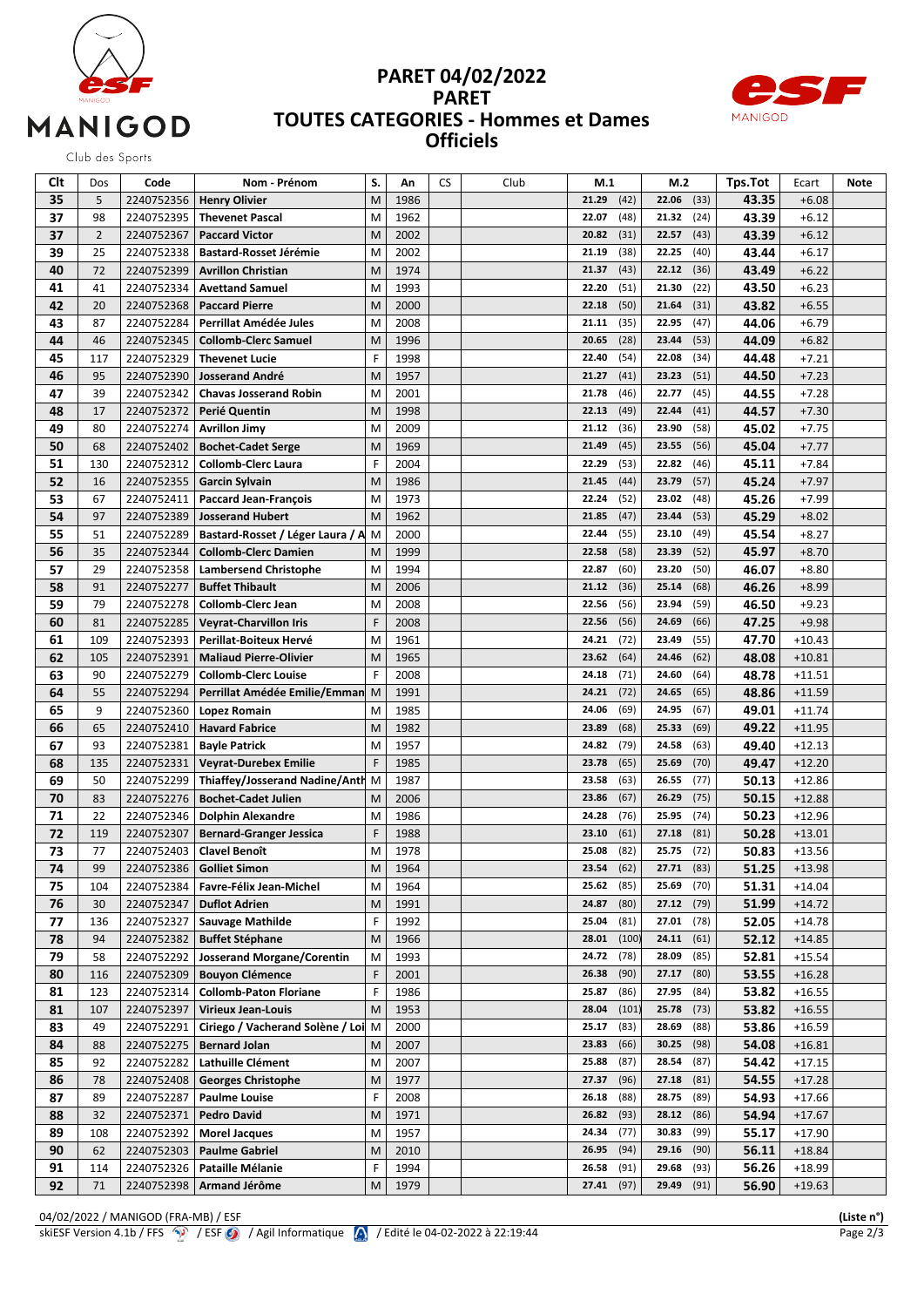

## **PARET 04/02/2022 PARET TOUTES CATEGORIES - Hommes et Dames Officiels**



Club des Sports

| Clt      | Dos            | Code       | Nom - Prénom                      | S. | An   | CS | Club | M.1   |       | M.2   |      | Tps.Tot | Ecart    | Note |
|----------|----------------|------------|-----------------------------------|----|------|----|------|-------|-------|-------|------|---------|----------|------|
| 35       | 5              | 2240752356 | <b>Henry Olivier</b>              | M  | 1986 |    |      | 21.29 | (42)  | 22.06 | (33) | 43.35   | $+6.08$  |      |
| 37       | 98             | 2240752395 | <b>Thevenet Pascal</b>            | M  | 1962 |    |      | 22.07 | (48)  | 21.32 | (24) | 43.39   | $+6.12$  |      |
| 37       | $\overline{2}$ | 2240752367 | <b>Paccard Victor</b>             | M  | 2002 |    |      | 20.82 | (31)  | 22.57 | (43) | 43.39   | $+6.12$  |      |
| 39       | 25             | 2240752338 | <b>Bastard-Rosset Jérémie</b>     | M  | 2002 |    |      | 21.19 | (38)  | 22.25 | (40) | 43.44   | $+6.17$  |      |
| 40       | 72             | 2240752399 | <b>Avrillon Christian</b>         | M  | 1974 |    |      | 21.37 | (43)  | 22.12 | (36) | 43.49   | $+6.22$  |      |
| 41       | 41             | 2240752334 | <b>Avettand Samuel</b>            | M  | 1993 |    |      | 22.20 | (51)  | 21.30 | (22) | 43.50   | $+6.23$  |      |
| 42       | 20             | 2240752368 | <b>Paccard Pierre</b>             | M  | 2000 |    |      | 22.18 | (50)  | 21.64 | (31) | 43.82   | $+6.55$  |      |
| 43       | 87             | 2240752284 | Perrillat Amédée Jules            | M  | 2008 |    |      | 21.11 | (35)  | 22.95 | (47) | 44.06   | $+6.79$  |      |
| 44       | 46             | 2240752345 | <b>Collomb-Clerc Samuel</b>       | M  | 1996 |    |      | 20.65 | (28)  | 23.44 | (53) | 44.09   | $+6.82$  |      |
| 45       | 117            | 2240752329 | <b>Thevenet Lucie</b>             | F  | 1998 |    |      | 22.40 | (54)  | 22.08 | (34) | 44.48   | $+7.21$  |      |
| 46       | 95             | 2240752390 | <b>Josserand André</b>            | M  | 1957 |    |      | 21.27 | (41)  | 23.23 | (51) | 44.50   | $+7.23$  |      |
| 47       | 39             | 2240752342 | <b>Chavas Josserand Robin</b>     | M  | 2001 |    |      | 21.78 | (46)  | 22.77 | (45) | 44.55   | $+7.28$  |      |
| 48       | 17             | 2240752372 | Perié Quentin                     | M  | 1998 |    |      | 22.13 | (49)  | 22.44 | (41) | 44.57   | $+7.30$  |      |
| 49       | 80             | 2240752274 | <b>Avrillon Jimy</b>              | M  | 2009 |    |      | 21.12 | (36)  | 23.90 | (58) | 45.02   | $+7.75$  |      |
| 50       | 68             | 2240752402 | <b>Bochet-Cadet Serge</b>         | M  | 1969 |    |      | 21.49 | (45)  | 23.55 | (56) | 45.04   | $+7.77$  |      |
| 51       | 130            | 2240752312 | <b>Collomb-Clerc Laura</b>        | F  | 2004 |    |      | 22.29 | (53)  | 22.82 | (46) | 45.11   | $+7.84$  |      |
|          | 16             |            |                                   | M  | 1986 |    |      |       | (44)  | 23.79 |      | 45.24   | $+7.97$  |      |
| 52<br>53 |                | 2240752355 | <b>Garcin Sylvain</b>             |    |      |    |      | 21.45 |       | 23.02 | (57) | 45.26   |          |      |
|          | 67             | 2240752411 | <b>Paccard Jean-François</b>      | M  | 1973 |    |      | 22.24 | (52)  |       | (48) |         | $+7.99$  |      |
| 54       | 97             | 2240752389 | <b>Josserand Hubert</b>           | M  | 1962 |    |      | 21.85 | (47)  | 23.44 | (53) | 45.29   | $+8.02$  |      |
| 55       | 51             | 2240752289 | Bastard-Rosset / Léger Laura / A  | M  | 2000 |    |      | 22.44 | (55)  | 23.10 | (49) | 45.54   | $+8.27$  |      |
| 56       | 35             | 2240752344 | <b>Collomb-Clerc Damien</b>       | M  | 1999 |    |      | 22.58 | (58)  | 23.39 | (52) | 45.97   | $+8.70$  |      |
| 57       | 29             | 2240752358 | <b>Lambersend Christophe</b>      | M  | 1994 |    |      | 22.87 | (60)  | 23.20 | (50) | 46.07   | $+8.80$  |      |
| 58       | 91             | 2240752277 | <b>Buffet Thibault</b>            | M  | 2006 |    |      | 21.12 | (36)  | 25.14 | (68) | 46.26   | $+8.99$  |      |
| 59       | 79             | 2240752278 | <b>Collomb-Clerc Jean</b>         | M  | 2008 |    |      | 22.56 | (56)  | 23.94 | (59) | 46.50   | $+9.23$  |      |
| 60       | 81             | 2240752285 | <b>Veyrat-Charvillon Iris</b>     | F  | 2008 |    |      | 22.56 | (56)  | 24.69 | (66) | 47.25   | $+9.98$  |      |
| 61       | 109            | 2240752393 | Perillat-Boiteux Hervé            | M  | 1961 |    |      | 24.21 | (72)  | 23.49 | (55) | 47.70   | $+10.43$ |      |
| 62       | 105            | 2240752391 | <b>Maliaud Pierre-Olivier</b>     | M  | 1965 |    |      | 23.62 | (64)  | 24.46 | (62) | 48.08   | $+10.81$ |      |
| 63       | 90             | 2240752279 | <b>Collomb-Clerc Louise</b>       | F  | 2008 |    |      | 24.18 | (71)  | 24.60 | (64) | 48.78   | $+11.51$ |      |
| 64       | 55             | 2240752294 | Perrillat Amédée Emilie/Emman     | M  | 1991 |    |      | 24.21 | (72)  | 24.65 | (65) | 48.86   | $+11.59$ |      |
| 65       | 9              | 2240752360 | <b>Lopez Romain</b>               | M  | 1985 |    |      | 24.06 | (69)  | 24.95 | (67) | 49.01   | $+11.74$ |      |
| 66       | 65             | 2240752410 | <b>Havard Fabrice</b>             | M  | 1982 |    |      | 23.89 | (68)  | 25.33 | (69) | 49.22   | $+11.95$ |      |
| 67       | 93             | 2240752381 | <b>Bayle Patrick</b>              | M  | 1957 |    |      | 24.82 | (79)  | 24.58 | (63) | 49.40   | $+12.13$ |      |
| 68       | 135            | 2240752331 | <b>Veyrat-Durebex Emilie</b>      | F  | 1985 |    |      | 23.78 | (65)  | 25.69 | (70) | 49.47   | $+12.20$ |      |
| 69       | 50             | 2240752299 | Thiaffey/Josserand Nadine/Anth M  |    | 1987 |    |      | 23.58 | (63)  | 26.55 | (77) | 50.13   | $+12.86$ |      |
| 70       | 83             | 2240752276 | <b>Bochet-Cadet Julien</b>        | M  | 2006 |    |      | 23.86 | (67)  | 26.29 | (75) | 50.15   | $+12.88$ |      |
| 71       | 22             | 2240752346 | <b>Dolphin Alexandre</b>          | M  | 1986 |    |      | 24.28 | (76)  | 25.95 | (74) | 50.23   | $+12.96$ |      |
| 72       | 119            | 2240752307 | <b>Bernard-Granger Jessica</b>    | F  | 1988 |    |      | 23.10 | (61)  | 27.18 | (81) | 50.28   | $+13.01$ |      |
| 73       | 77             | 2240752403 | <b>Clavel Benoît</b>              | M  | 1978 |    |      | 25.08 | (82)  | 25.75 | (72) | 50.83   | $+13.56$ |      |
| 74       | 99             |            | 2240752386 Golliet Simon          | M  | 1964 |    |      | 23.54 | (62)  | 27.71 | (83) | 51.25   | $+13.98$ |      |
| 75       | 104            | 2240752384 | Favre-Félix Jean-Michel           | M  | 1964 |    |      | 25.62 | (85)  | 25.69 | (70) | 51.31   | +14.04   |      |
| 76       | 30             | 2240752347 | <b>Duflot Adrien</b>              | M  | 1991 |    |      | 24.87 | (80)  | 27.12 | (79) | 51.99   | $+14.72$ |      |
| 77       | 136            | 2240752327 | <b>Sauvage Mathilde</b>           | F  | 1992 |    |      | 25.04 | (81)  | 27.01 | (78) | 52.05   | $+14.78$ |      |
| 78       | 94             | 2240752382 | <b>Buffet Stéphane</b>            | M  | 1966 |    |      | 28.01 | (100) | 24.11 | (61) | 52.12   | $+14.85$ |      |
| 79       | 58             | 2240752292 | <b>Josserand Morgane/Corentin</b> | M  | 1993 |    |      | 24.72 | (78)  | 28.09 | (85) | 52.81   | $+15.54$ |      |
| 80       | 116            | 2240752309 | <b>Bouyon Clémence</b>            | F  | 2001 |    |      | 26.38 | (90)  | 27.17 | (80) | 53.55   | $+16.28$ |      |
| 81       | 123            | 2240752314 | <b>Collomb-Paton Floriane</b>     | F  | 1986 |    |      | 25.87 | (86)  | 27.95 | (84) | 53.82   | $+16.55$ |      |
| 81       | 107            | 2240752397 | <b>Virieux Jean-Louis</b>         | M  | 1953 |    |      | 28.04 | (101) | 25.78 | (73) | 53.82   | $+16.55$ |      |
| 83       | 49             | 2240752291 | Ciriego / Vacherand Solène / Loi  | M  | 2000 |    |      | 25.17 | (83)  | 28.69 | (88) | 53.86   | $+16.59$ |      |
| 84       | 88             | 2240752275 | <b>Bernard Jolan</b>              | М  | 2007 |    |      | 23.83 | (66)  | 30.25 | (98) | 54.08   | $+16.81$ |      |
|          |                |            | Lathuille Clément                 | M  |      |    |      | 25.88 | (87)  | 28.54 | (87) |         |          |      |
| 85       | 92             | 2240752282 |                                   |    | 2007 |    |      |       |       |       |      | 54.42   | $+17.15$ |      |
| 86       | 78             | 2240752408 | <b>Georges Christophe</b>         | М  | 1977 |    |      | 27.37 | (96)  | 27.18 | (81) | 54.55   | $+17.28$ |      |
| 87       | 89             | 2240752287 | <b>Paulme Louise</b>              | F  | 2008 |    |      | 26.18 | (88)  | 28.75 | (89) | 54.93   | $+17.66$ |      |
| 88       | 32             | 2240752371 | <b>Pedro David</b>                | M  | 1971 |    |      | 26.82 | (93)  | 28.12 | (86) | 54.94   | $+17.67$ |      |
| 89       | 108            | 2240752392 | <b>Morel Jacques</b>              | M  | 1957 |    |      | 24.34 | (77)  | 30.83 | (99) | 55.17   | $+17.90$ |      |
| 90       | 62             | 2240752303 | <b>Paulme Gabriel</b>             | M  | 2010 |    |      | 26.95 | (94)  | 29.16 | (90) | 56.11   | $+18.84$ |      |
| 91       | 114            | 2240752326 | Pataille Mélanie                  | F  | 1994 |    |      | 26.58 | (91)  | 29.68 | (93) | 56.26   | $+18.99$ |      |
| 92       | 71             | 2240752398 | Armand Jérôme                     | M  | 1979 |    |      | 27.41 | (97)  | 29.49 | (91) | 56.90   | $+19.63$ |      |

04/02/2022 / MANIGOD (FRA-MB) / ESF **(Liste n°)** skiESF Version 4.1b / FFS  $\circled{?}$  / ESF  $\circled{9}$  / Agil Informatique  $\circled{?}$  / Edité le 04-02-2022 à 22:19:44